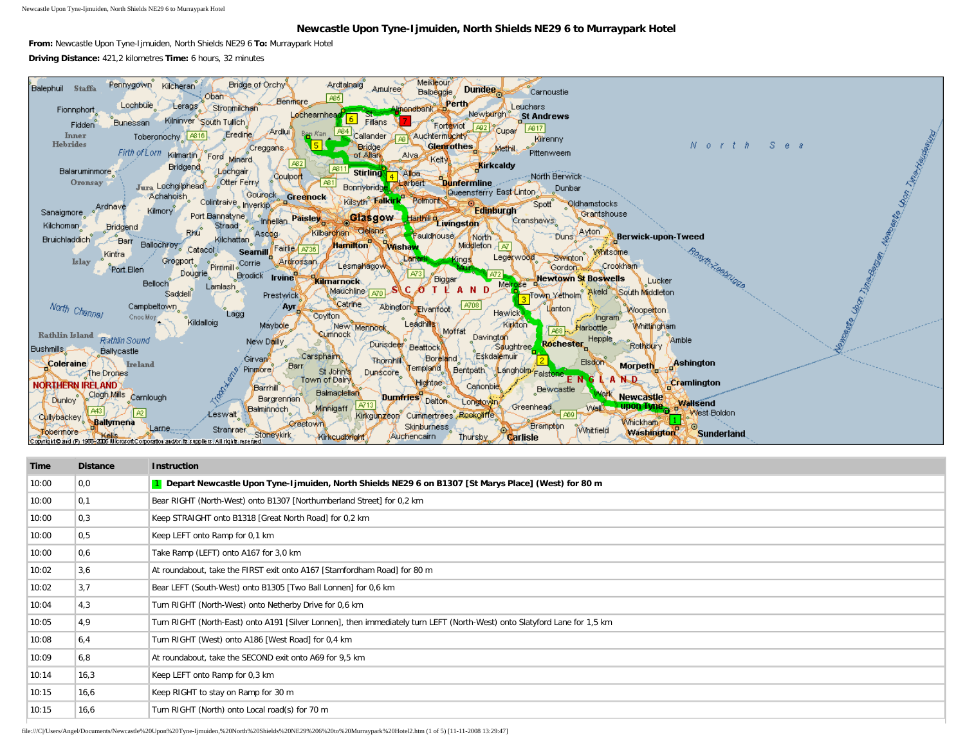Newcastle Upon Tyne-Ijmuiden, North Shields NE29 6 to Murraypark Hotel

## **Newcastle Upon Tyne-Ijmuiden, North Shields NE29 6 to Murraypark Hotel**

**From:** Newcastle Upon Tyne-Ijmuiden, North Shields NE29 6 **To:** Murraypark Hotel **Driving Distance:** 421,2 kilometres **Time:** 6 hours, 32 minutes



| Time  | <b>Distance</b> | <b>Instruction</b>                                                                                                        |
|-------|-----------------|---------------------------------------------------------------------------------------------------------------------------|
| 10:00 | 0,0             | 1 Depart Newcastle Upon Tyne-Ijmuiden, North Shields NE29 6 on B1307 [St Marys Place] (West) for 80 m                     |
| 10:00 | 0,1             | Bear RIGHT (North-West) onto B1307 [Northumberland Street] for 0,2 km                                                     |
| 10:00 | 0,3             | Keep STRAIGHT onto B1318 [Great North Road] for 0,2 km                                                                    |
| 10:00 | 0,5             | Keep LEFT onto Ramp for 0,1 km                                                                                            |
| 10:00 | 0,6             | Take Ramp (LEFT) onto A167 for 3,0 km                                                                                     |
| 10:02 | 3,6             | At roundabout, take the FIRST exit onto A167 [Stamfordham Road] for 80 m                                                  |
| 10:02 | 3,7             | Bear LEFT (South-West) onto B1305 [Two Ball Lonnen] for 0,6 km                                                            |
| 10:04 | 4,3             | Turn RIGHT (North-West) onto Netherby Drive for 0,6 km                                                                    |
| 10:05 | 4.9             | Turn RIGHT (North-East) onto A191 [Silver Lonnen], then immediately turn LEFT (North-West) onto Slatyford Lane for 1,5 km |
| 10:08 | 6,4             | Turn RIGHT (West) onto A186 [West Road] for 0,4 km                                                                        |
| 10:09 | 6,8             | At roundabout, take the SECOND exit onto A69 for 9,5 km                                                                   |
| 10:14 | 16,3            | Keep LEFT onto Ramp for 0,3 km                                                                                            |
| 10:15 | 16,6            | Keep RIGHT to stay on Ramp for 30 m                                                                                       |
| 10:15 | 16,6            | Turn RIGHT (North) onto Local road(s) for 70 m                                                                            |

file:///C|/Users/Angel/Documents/Newcastle%20Upon%20Tyne-Ijmuiden,%20North%20Shields%20NE29%206%20to%20Murraypark%20Hotel2.htm (1 of 5) [11-11-2008 13:29:47]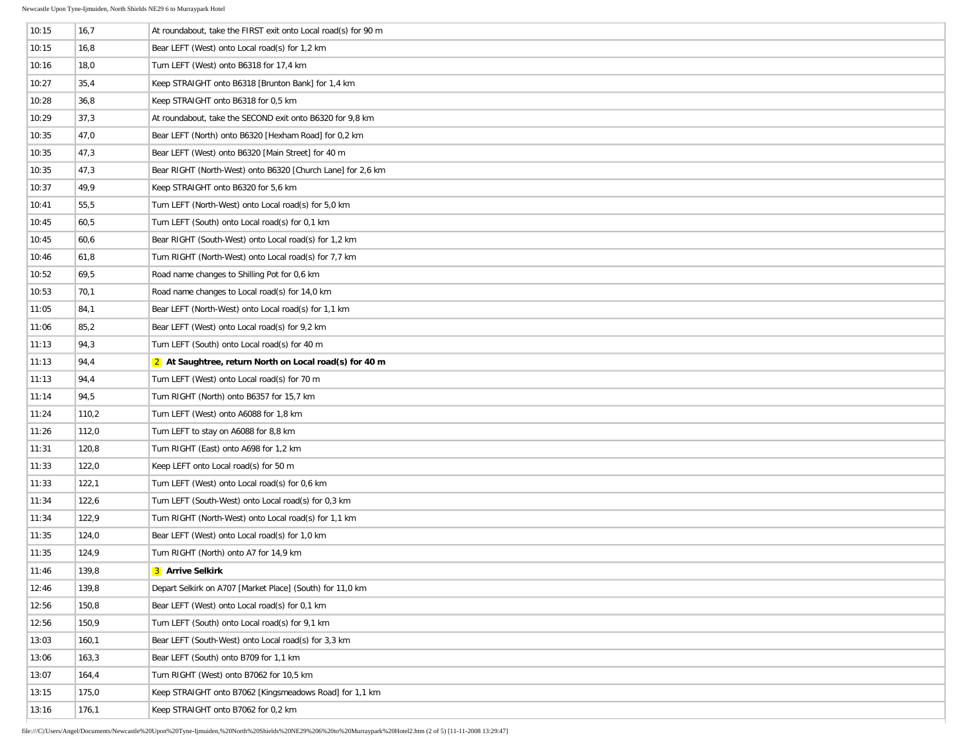$\sim$ 

| 10:15 | 16,7  | At roundabout, take the FIRST exit onto Local road(s) for 90 m |
|-------|-------|----------------------------------------------------------------|
| 10:15 | 16,8  | Bear LEFT (West) onto Local road(s) for 1,2 km                 |
| 10:16 | 18,0  | Turn LEFT (West) onto B6318 for 17,4 km                        |
| 10:27 | 35,4  | Keep STRAIGHT onto B6318 [Brunton Bank] for 1,4 km             |
| 10:28 | 36,8  | Keep STRAIGHT onto B6318 for 0,5 km                            |
| 10:29 | 37,3  | At roundabout, take the SECOND exit onto B6320 for 9,8 km      |
| 10:35 | 47,0  | Bear LEFT (North) onto B6320 [Hexham Road] for 0,2 km          |
| 10:35 | 47,3  | Bear LEFT (West) onto B6320 [Main Street] for 40 m             |
| 10:35 | 47,3  | Bear RIGHT (North-West) onto B6320 [Church Lane] for 2,6 km    |
| 10:37 | 49,9  | Keep STRAIGHT onto B6320 for 5,6 km                            |
| 10:41 | 55,5  | Turn LEFT (North-West) onto Local road(s) for 5,0 km           |
| 10:45 | 60,5  | Turn LEFT (South) onto Local road(s) for 0,1 km                |
| 10:45 | 60,6  | Bear RIGHT (South-West) onto Local road(s) for 1,2 km          |
| 10:46 | 61,8  | Turn RIGHT (North-West) onto Local road(s) for 7,7 km          |
| 10:52 | 69,5  | Road name changes to Shilling Pot for 0,6 km                   |
| 10:53 | 70,1  | Road name changes to Local road(s) for 14,0 km                 |
| 11:05 | 84,1  | Bear LEFT (North-West) onto Local road(s) for 1,1 km           |
| 11:06 | 85,2  | Bear LEFT (West) onto Local road(s) for 9,2 km                 |
| 11:13 | 94,3  | Turn LEFT (South) onto Local road(s) for 40 m                  |
| 11:13 | 94,4  | 2 At Saughtree, return North on Local road(s) for 40 m         |
| 11:13 | 94,4  | Turn LEFT (West) onto Local road(s) for 70 m                   |
| 11:14 | 94,5  | Turn RIGHT (North) onto B6357 for 15,7 km                      |
| 11:24 | 110,2 | Turn LEFT (West) onto A6088 for 1,8 km                         |
| 11:26 | 112,0 | Turn LEFT to stay on A6088 for 8,8 km                          |
| 11:31 | 120,8 | Turn RIGHT (East) onto A698 for 1,2 km                         |
| 11:33 | 122,0 | Keep LEFT onto Local road(s) for 50 m                          |
| 11:33 | 122,1 | Turn LEFT (West) onto Local road(s) for 0,6 km                 |
| 11:34 | 122,6 | Turn LEFT (South-West) onto Local road(s) for 0,3 km           |
| 11:34 | 122,9 | Turn RIGHT (North-West) onto Local road(s) for 1,1 km          |
| 11:35 | 124,0 | Bear LEFT (West) onto Local road(s) for 1,0 km                 |
| 11:35 | 124,9 | Turn RIGHT (North) onto A7 for 14,9 km                         |
| 11:46 | 139,8 | 3 Arrive Selkirk                                               |
| 12:46 | 139,8 | Depart Selkirk on A707 [Market Place] (South) for 11,0 km      |
| 12:56 | 150,8 | Bear LEFT (West) onto Local road(s) for 0,1 km                 |
| 12:56 | 150,9 | Turn LEFT (South) onto Local road(s) for 9,1 km                |
| 13:03 | 160,1 | Bear LEFT (South-West) onto Local road(s) for 3,3 km           |
| 13:06 | 163,3 | Bear LEFT (South) onto B709 for 1,1 km                         |
| 13:07 | 164,4 | Turn RIGHT (West) onto B7062 for 10,5 km                       |
| 13:15 | 175,0 | Keep STRAIGHT onto B7062 [Kingsmeadows Road] for 1,1 km        |
| 13:16 | 176,1 | Keep STRAIGHT onto B7062 for 0,2 km                            |
|       |       |                                                                |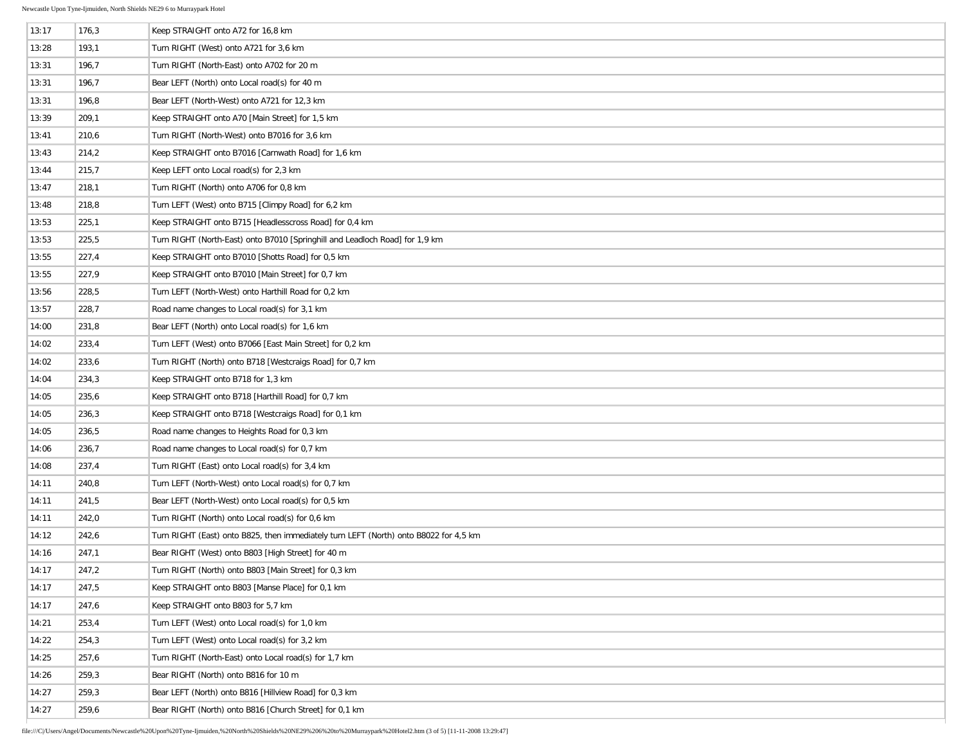| 13:17 | 176,3 | Keep STRAIGHT onto A72 for 16,8 km                                                    |
|-------|-------|---------------------------------------------------------------------------------------|
| 13:28 | 193,1 | Turn RIGHT (West) onto A721 for 3,6 km                                                |
| 13:31 | 196,7 | Turn RIGHT (North-East) onto A702 for 20 m                                            |
| 13:31 | 196,7 | Bear LEFT (North) onto Local road(s) for 40 m                                         |
| 13:31 | 196,8 | Bear LEFT (North-West) onto A721 for 12,3 km                                          |
| 13:39 | 209,1 | Keep STRAIGHT onto A70 [Main Street] for 1,5 km                                       |
| 13:41 | 210,6 | Turn RIGHT (North-West) onto B7016 for 3,6 km                                         |
| 13:43 | 214,2 | Keep STRAIGHT onto B7016 [Carnwath Road] for 1,6 km                                   |
| 13:44 | 215,7 | Keep LEFT onto Local road(s) for 2,3 km                                               |
| 13:47 | 218,1 | Turn RIGHT (North) onto A706 for 0,8 km                                               |
| 13:48 | 218,8 | Turn LEFT (West) onto B715 [Climpy Road] for 6,2 km                                   |
| 13:53 | 225,1 | Keep STRAIGHT onto B715 [Headlesscross Road] for 0,4 km                               |
| 13:53 | 225,5 | Turn RIGHT (North-East) onto B7010 [Springhill and Leadloch Road] for 1,9 km          |
| 13:55 | 227,4 | Keep STRAIGHT onto B7010 [Shotts Road] for 0,5 km                                     |
| 13:55 | 227,9 | Keep STRAIGHT onto B7010 [Main Street] for 0,7 km                                     |
| 13:56 | 228,5 | Turn LEFT (North-West) onto Harthill Road for 0,2 km                                  |
| 13:57 | 228,7 | Road name changes to Local road(s) for 3,1 km                                         |
| 14:00 | 231,8 | Bear LEFT (North) onto Local road(s) for 1,6 km                                       |
| 14:02 | 233,4 | Turn LEFT (West) onto B7066 [East Main Street] for 0,2 km                             |
| 14:02 | 233,6 | Turn RIGHT (North) onto B718 [Westcraigs Road] for 0,7 km                             |
| 14:04 | 234,3 | Keep STRAIGHT onto B718 for 1,3 km                                                    |
| 14:05 | 235,6 | Keep STRAIGHT onto B718 [Harthill Road] for 0,7 km                                    |
| 14:05 | 236,3 | Keep STRAIGHT onto B718 [Westcraigs Road] for 0,1 km                                  |
| 14:05 | 236,5 | Road name changes to Heights Road for 0,3 km                                          |
| 14:06 | 236,7 | Road name changes to Local road(s) for 0,7 km                                         |
| 14:08 | 237,4 | Turn RIGHT (East) onto Local road(s) for 3,4 km                                       |
| 14:11 | 240,8 | Turn LEFT (North-West) onto Local road(s) for 0,7 km                                  |
| 14:11 | 241,5 | Bear LEFT (North-West) onto Local road(s) for 0,5 km                                  |
| 14:11 | 242,0 | Turn RIGHT (North) onto Local road(s) for 0,6 km                                      |
| 14:12 | 242,6 | Turn RIGHT (East) onto B825, then immediately turn LEFT (North) onto B8022 for 4,5 km |
| 14:16 | 247,1 | Bear RIGHT (West) onto B803 [High Street] for 40 m                                    |
| 14:17 | 247,2 | Turn RIGHT (North) onto B803 [Main Street] for 0,3 km                                 |
| 14:17 | 247,5 | Keep STRAIGHT onto B803 [Manse Place] for 0,1 km                                      |
| 14:17 | 247,6 | Keep STRAIGHT onto B803 for 5,7 km                                                    |
| 14:21 | 253,4 | Turn LEFT (West) onto Local road(s) for 1,0 km                                        |
| 14:22 | 254,3 | Turn LEFT (West) onto Local road(s) for 3,2 km                                        |
| 14:25 | 257,6 | Turn RIGHT (North-East) onto Local road(s) for 1,7 km                                 |
| 14:26 | 259,3 | Bear RIGHT (North) onto B816 for 10 m                                                 |
| 14:27 | 259,3 | Bear LEFT (North) onto B816 [Hillview Road] for 0,3 km                                |
| 14:27 | 259,6 | Bear RIGHT (North) onto B816 [Church Street] for 0,1 km                               |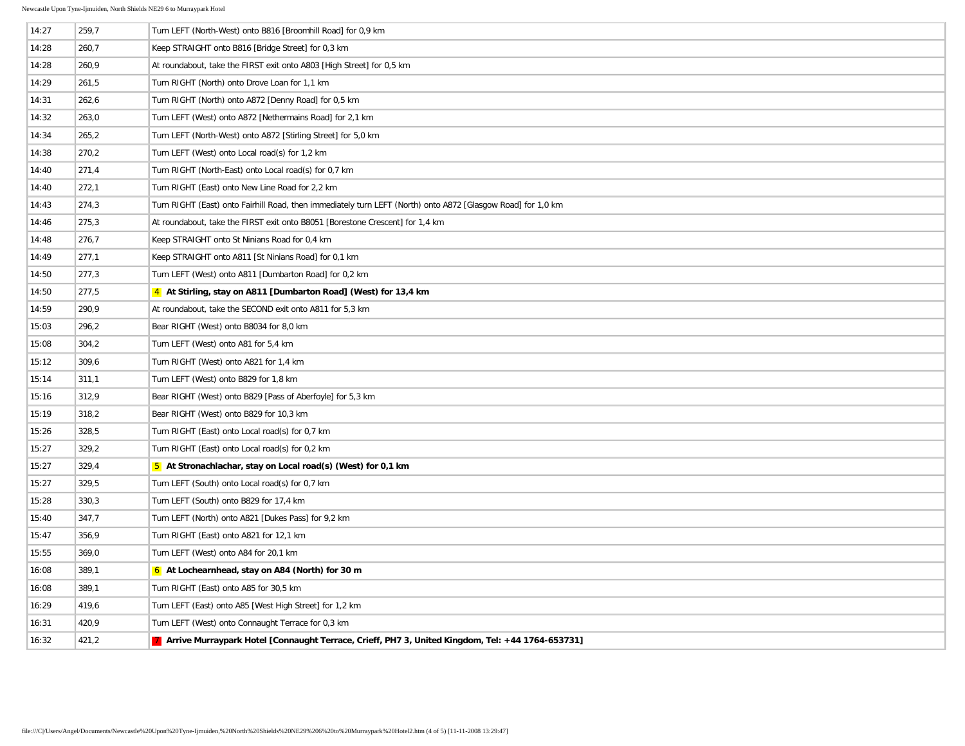| 14:27 | 259,7 | Turn LEFT (North-West) onto B816 [Broomhill Road] for 0,9 km                                                 |
|-------|-------|--------------------------------------------------------------------------------------------------------------|
| 14:28 | 260,7 | Keep STRAIGHT onto B816 [Bridge Street] for 0,3 km                                                           |
| 14:28 | 260,9 | At roundabout, take the FIRST exit onto A803 [High Street] for 0,5 km                                        |
| 14:29 | 261,5 | Turn RIGHT (North) onto Drove Loan for 1,1 km                                                                |
| 14:31 | 262,6 | Turn RIGHT (North) onto A872 [Denny Road] for 0,5 km                                                         |
| 14:32 | 263,0 | Turn LEFT (West) onto A872 [Nethermains Road] for 2,1 km                                                     |
| 14:34 | 265,2 | Turn LEFT (North-West) onto A872 [Stirling Street] for 5,0 km                                                |
| 14:38 | 270,2 | Turn LEFT (West) onto Local road(s) for 1,2 km                                                               |
| 14:40 | 271,4 | Turn RIGHT (North-East) onto Local road(s) for 0,7 km                                                        |
| 14:40 | 272,1 | Turn RIGHT (East) onto New Line Road for 2,2 km                                                              |
| 14:43 | 274,3 | Turn RIGHT (East) onto Fairhill Road, then immediately turn LEFT (North) onto A872 [Glasgow Road] for 1,0 km |
| 14:46 | 275,3 | At roundabout, take the FIRST exit onto B8051 [Borestone Crescent] for 1,4 km                                |
| 14:48 | 276,7 | Keep STRAIGHT onto St Ninians Road for 0,4 km                                                                |
| 14:49 | 277,1 | Keep STRAIGHT onto A811 [St Ninians Road] for 0,1 km                                                         |
| 14:50 | 277,3 | Turn LEFT (West) onto A811 [Dumbarton Road] for 0,2 km                                                       |
| 14:50 | 277,5 | 4 At Stirling, stay on A811 [Dumbarton Road] (West) for 13,4 km                                              |
| 14:59 | 290,9 | At roundabout, take the SECOND exit onto A811 for 5,3 km                                                     |
| 15:03 | 296,2 | Bear RIGHT (West) onto B8034 for 8,0 km                                                                      |
| 15:08 | 304,2 | Turn LEFT (West) onto A81 for 5,4 km                                                                         |
| 15:12 | 309,6 | Turn RIGHT (West) onto A821 for 1,4 km                                                                       |
| 15:14 | 311,1 | Turn LEFT (West) onto B829 for 1,8 km                                                                        |
| 15:16 | 312,9 | Bear RIGHT (West) onto B829 [Pass of Aberfoyle] for 5,3 km                                                   |
| 15:19 | 318,2 | Bear RIGHT (West) onto B829 for 10,3 km                                                                      |
| 15:26 | 328,5 | Turn RIGHT (East) onto Local road(s) for 0,7 km                                                              |
| 15:27 | 329,2 | Turn RIGHT (East) onto Local road(s) for 0,2 km                                                              |
| 15:27 | 329,4 | 5 At Stronachlachar, stay on Local road(s) (West) for 0,1 km                                                 |
| 15:27 | 329,5 | Turn LEFT (South) onto Local road(s) for 0,7 km                                                              |
| 15:28 | 330,3 | Turn LEFT (South) onto B829 for 17,4 km                                                                      |
| 15:40 | 347,7 | Turn LEFT (North) onto A821 [Dukes Pass] for 9,2 km                                                          |
| 15:47 | 356,9 | Turn RIGHT (East) onto A821 for 12,1 km                                                                      |
| 15:55 | 369,0 | Turn LEFT (West) onto A84 for 20,1 km                                                                        |
| 16:08 | 389,1 | 6 At Lochearnhead, stay on A84 (North) for 30 m                                                              |
| 16:08 | 389,1 | Turn RIGHT (East) onto A85 for 30,5 km                                                                       |
| 16:29 | 419,6 | Turn LEFT (East) onto A85 [West High Street] for 1,2 km                                                      |
| 16:31 | 420,9 | Turn LEFT (West) onto Connaught Terrace for 0,3 km                                                           |
| 16:32 | 421,2 | 7 Arrive Murraypark Hotel [Connaught Terrace, Crieff, PH7 3, United Kingdom, Tel: +44 1764-653731]           |